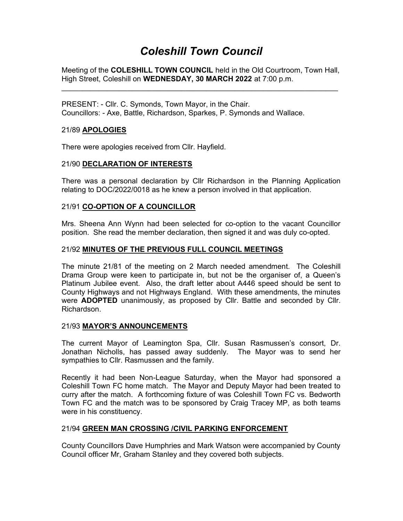# Coleshill Town Council

Meeting of the COLESHILL TOWN COUNCIL held in the Old Courtroom, Town Hall, High Street, Coleshill on WEDNESDAY, 30 MARCH 2022 at 7:00 p.m.  $\mathcal{L}_\text{max} = \frac{1}{2} \sum_{i=1}^{n} \frac{1}{2} \sum_{i=1}^{n} \frac{1}{2} \sum_{i=1}^{n} \frac{1}{2} \sum_{i=1}^{n} \frac{1}{2} \sum_{i=1}^{n} \frac{1}{2} \sum_{i=1}^{n} \frac{1}{2} \sum_{i=1}^{n} \frac{1}{2} \sum_{i=1}^{n} \frac{1}{2} \sum_{i=1}^{n} \frac{1}{2} \sum_{i=1}^{n} \frac{1}{2} \sum_{i=1}^{n} \frac{1}{2} \sum_{i=1}^{n} \frac{1$ 

PRESENT: - Cllr. C. Symonds, Town Mayor, in the Chair. Councillors: - Axe, Battle, Richardson, Sparkes, P. Symonds and Wallace.

#### 21/89 APOLOGIES

There were apologies received from Cllr. Hayfield.

#### 21/90 DECLARATION OF INTERESTS

There was a personal declaration by Cllr Richardson in the Planning Application relating to DOC/2022/0018 as he knew a person involved in that application.

#### 21/91 CO-OPTION OF A COUNCILLOR

Mrs. Sheena Ann Wynn had been selected for co-option to the vacant Councillor position. She read the member declaration, then signed it and was duly co-opted.

#### 21/92 MINUTES OF THE PREVIOUS FULL COUNCIL MEETINGS

The minute 21/81 of the meeting on 2 March needed amendment. The Coleshill Drama Group were keen to participate in, but not be the organiser of, a Queen's Platinum Jubilee event. Also, the draft letter about A446 speed should be sent to County Highways and not Highways England. With these amendments, the minutes were **ADOPTED** unanimously, as proposed by Cllr. Battle and seconded by Cllr. Richardson.

#### 21/93 MAYOR'S ANNOUNCEMENTS

The current Mayor of Leamington Spa, Cllr. Susan Rasmussen's consort, Dr. Jonathan Nicholls, has passed away suddenly. The Mayor was to send her sympathies to Cllr. Rasmussen and the family.

Recently it had been Non-League Saturday, when the Mayor had sponsored a Coleshill Town FC home match. The Mayor and Deputy Mayor had been treated to curry after the match. A forthcoming fixture of was Coleshill Town FC vs. Bedworth Town FC and the match was to be sponsored by Craig Tracey MP, as both teams were in his constituency.

## 21/94 GREEN MAN CROSSING /CIVIL PARKING ENFORCEMENT

County Councillors Dave Humphries and Mark Watson were accompanied by County Council officer Mr, Graham Stanley and they covered both subjects.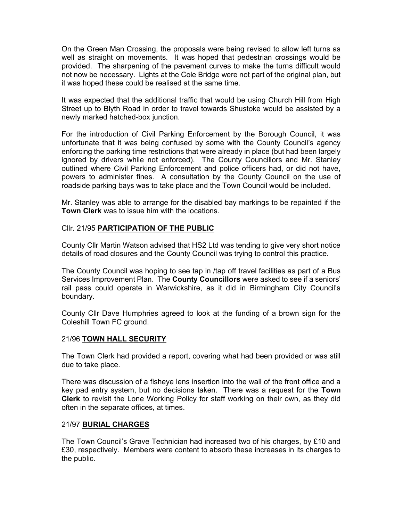On the Green Man Crossing, the proposals were being revised to allow left turns as well as straight on movements. It was hoped that pedestrian crossings would be provided. The sharpening of the pavement curves to make the turns difficult would not now be necessary. Lights at the Cole Bridge were not part of the original plan, but it was hoped these could be realised at the same time.

It was expected that the additional traffic that would be using Church Hill from High Street up to Blyth Road in order to travel towards Shustoke would be assisted by a newly marked hatched-box junction.

For the introduction of Civil Parking Enforcement by the Borough Council, it was unfortunate that it was being confused by some with the County Council's agency enforcing the parking time restrictions that were already in place (but had been largely ignored by drivers while not enforced). The County Councillors and Mr. Stanley outlined where Civil Parking Enforcement and police officers had, or did not have, powers to administer fines. A consultation by the County Council on the use of roadside parking bays was to take place and the Town Council would be included.

Mr. Stanley was able to arrange for the disabled bay markings to be repainted if the Town Clerk was to issue him with the locations.

## Cllr. 21/95 PARTICIPATION OF THE PUBLIC

County Cllr Martin Watson advised that HS2 Ltd was tending to give very short notice details of road closures and the County Council was trying to control this practice.

The County Council was hoping to see tap in /tap off travel facilities as part of a Bus Services Improvement Plan. The County Councillors were asked to see if a seniors' rail pass could operate in Warwickshire, as it did in Birmingham City Council's boundary.

County Cllr Dave Humphries agreed to look at the funding of a brown sign for the Coleshill Town FC ground.

## 21/96 TOWN HALL SECURITY

The Town Clerk had provided a report, covering what had been provided or was still due to take place.

There was discussion of a fisheye lens insertion into the wall of the front office and a key pad entry system, but no decisions taken. There was a request for the Town Clerk to revisit the Lone Working Policy for staff working on their own, as they did often in the separate offices, at times.

#### 21/97 BURIAL CHARGES

The Town Council's Grave Technician had increased two of his charges, by £10 and £30, respectively. Members were content to absorb these increases in its charges to the public.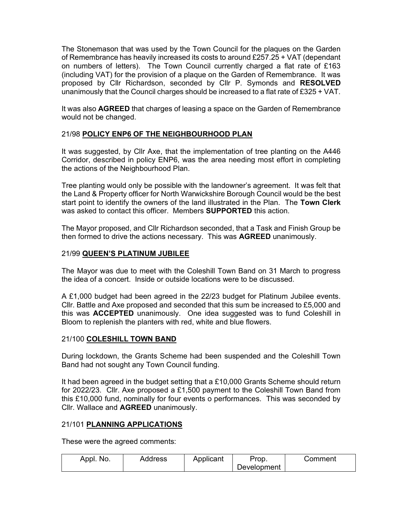The Stonemason that was used by the Town Council for the plaques on the Garden of Remembrance has heavily increased its costs to around £257.25 + VAT (dependant on numbers of letters). The Town Council currently charged a flat rate of £163 (including VAT) for the provision of a plaque on the Garden of Remembrance. It was proposed by Cllr Richardson, seconded by Cllr P. Symonds and RESOLVED unanimously that the Council charges should be increased to a flat rate of £325 + VAT.

It was also **AGREED** that charges of leasing a space on the Garden of Remembrance would not be changed.

# 21/98 POLICY ENP6 OF THE NEIGHBOURHOOD PLAN

It was suggested, by Cllr Axe, that the implementation of tree planting on the A446 Corridor, described in policy ENP6, was the area needing most effort in completing the actions of the Neighbourhood Plan.

Tree planting would only be possible with the landowner's agreement. It was felt that the Land & Property officer for North Warwickshire Borough Council would be the best start point to identify the owners of the land illustrated in the Plan. The Town Clerk was asked to contact this officer. Members **SUPPORTED** this action.

The Mayor proposed, and Cllr Richardson seconded, that a Task and Finish Group be then formed to drive the actions necessary. This was AGREED unanimously.

# 21/99 QUEEN'S PLATINUM JUBILEE

The Mayor was due to meet with the Coleshill Town Band on 31 March to progress the idea of a concert. Inside or outside locations were to be discussed.

A £1,000 budget had been agreed in the 22/23 budget for Platinum Jubilee events. Cllr. Battle and Axe proposed and seconded that this sum be increased to £5,000 and this was **ACCEPTED** unanimously. One idea suggested was to fund Coleshill in Bloom to replenish the planters with red, white and blue flowers.

# 21/100 COLESHILL TOWN BAND

During lockdown, the Grants Scheme had been suspended and the Coleshill Town Band had not sought any Town Council funding.

It had been agreed in the budget setting that a £10,000 Grants Scheme should return for 2022/23. Cllr. Axe proposed a £1,500 payment to the Coleshill Town Band from this £10,000 fund, nominally for four events o performances. This was seconded by Cllr. Wallace and AGREED unanimously.

## 21/101 PLANNING APPLICATIONS

These were the agreed comments:

| Appl. No. | Address | Applicant | Prop.              | Comment |
|-----------|---------|-----------|--------------------|---------|
|           |         |           | <b>Jevelopment</b> |         |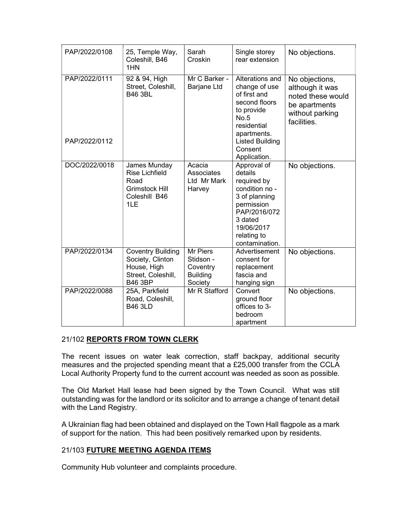| PAP/2022/0108                  | 25, Temple Way,<br>Coleshill, B46<br>1HN                                                            | Sarah<br>Croskin                                                | Single storey<br>rear extension                                                                                                                                            | No objections.                                                                                            |
|--------------------------------|-----------------------------------------------------------------------------------------------------|-----------------------------------------------------------------|----------------------------------------------------------------------------------------------------------------------------------------------------------------------------|-----------------------------------------------------------------------------------------------------------|
| PAP/2022/0111<br>PAP/2022/0112 | 92 & 94, High<br>Street, Coleshill,<br><b>B46 3BL</b>                                               | Mr C Barker -<br>Barjane Ltd                                    | Alterations and<br>change of use<br>of first and<br>second floors<br>to provide<br>No.5<br>residential<br>apartments.<br><b>Listed Building</b><br>Consent<br>Application. | No objections,<br>although it was<br>noted these would<br>be apartments<br>without parking<br>facilities. |
| DOC/2022/0018                  | James Munday<br><b>Rise Lichfield</b><br>Road<br><b>Grimstock Hill</b><br>Coleshill B46<br>1LE      | Acacia<br><b>Associates</b><br>Ltd Mr Mark<br>Harvey            | Approval of<br>details<br>required by<br>condition no -<br>3 of planning<br>permission<br>PAP/2016/072<br>3 dated<br>19/06/2017<br>relating to<br>contamination.           | No objections.                                                                                            |
| PAP/2022/0134                  | <b>Coventry Building</b><br>Society, Clinton<br>House, High<br>Street, Coleshill,<br><b>B46 3BP</b> | Mr Piers<br>Stidson -<br>Coventry<br><b>Building</b><br>Society | Advertisement<br>consent for<br>replacement<br>fascia and<br>hanging sign                                                                                                  | No objections.                                                                                            |
| PAP/2022/0088                  | 25A, Parkfield<br>Road, Coleshill,<br><b>B46 3LD</b>                                                | Mr R Stafford                                                   | Convert<br>ground floor<br>offices to 3-<br>bedroom<br>apartment                                                                                                           | No objections.                                                                                            |

## 21/102 REPORTS FROM TOWN CLERK

The recent issues on water leak correction, staff backpay, additional security measures and the projected spending meant that a £25,000 transfer from the CCLA Local Authority Property fund to the current account was needed as soon as possible.

The Old Market Hall lease had been signed by the Town Council. What was still outstanding was for the landlord or its solicitor and to arrange a change of tenant detail with the Land Registry.

A Ukrainian flag had been obtained and displayed on the Town Hall flagpole as a mark of support for the nation. This had been positively remarked upon by residents.

# 21/103 FUTURE MEETING AGENDA ITEMS

Community Hub volunteer and complaints procedure.